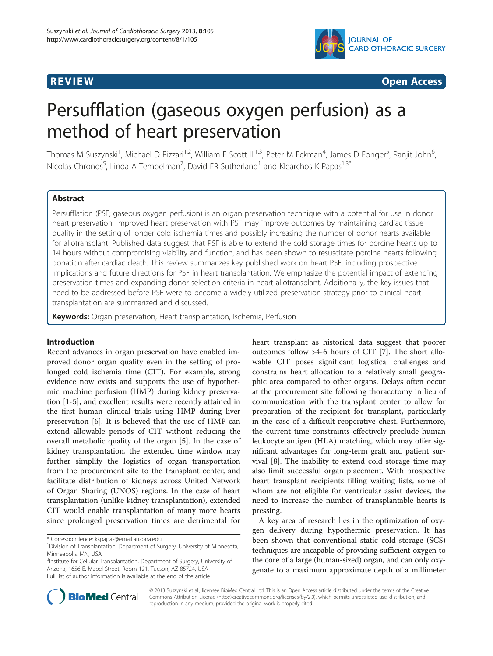

**REVIEW CONSTRUCTION CONSTRUCTION CONSTRUCTION CONSTRUCTS** 

# Persufflation (gaseous oxygen perfusion) as a method of heart preservation

Thomas M Suszynski<sup>1</sup>, Michael D Rizzari<sup>1,2</sup>, William E Scott III<sup>1,3</sup>, Peter M Eckman<sup>4</sup>, James D Fonger<sup>5</sup>, Ranjit John<sup>6</sup> , Nicolas Chronos<sup>5</sup>, Linda A Tempelman<sup>7</sup>, David ER Sutherland<sup>1</sup> and Klearchos K Papas<sup>1,3\*</sup>

# Abstract

Persufflation (PSF; gaseous oxygen perfusion) is an organ preservation technique with a potential for use in donor heart preservation. Improved heart preservation with PSF may improve outcomes by maintaining cardiac tissue quality in the setting of longer cold ischemia times and possibly increasing the number of donor hearts available for allotransplant. Published data suggest that PSF is able to extend the cold storage times for porcine hearts up to 14 hours without compromising viability and function, and has been shown to resuscitate porcine hearts following donation after cardiac death. This review summarizes key published work on heart PSF, including prospective implications and future directions for PSF in heart transplantation. We emphasize the potential impact of extending preservation times and expanding donor selection criteria in heart allotransplant. Additionally, the key issues that need to be addressed before PSF were to become a widely utilized preservation strategy prior to clinical heart transplantation are summarized and discussed.

Keywords: Organ preservation, Heart transplantation, Ischemia, Perfusion

# Introduction

Recent advances in organ preservation have enabled improved donor organ quality even in the setting of prolonged cold ischemia time (CIT). For example, strong evidence now exists and supports the use of hypothermic machine perfusion (HMP) during kidney preservation [\[1](#page-5-0)-[5\]](#page-5-0), and excellent results were recently attained in the first human clinical trials using HMP during liver preservation [\[6](#page-5-0)]. It is believed that the use of HMP can extend allowable periods of CIT without reducing the overall metabolic quality of the organ [[5\]](#page-5-0). In the case of kidney transplantation, the extended time window may further simplify the logistics of organ transportation from the procurement site to the transplant center, and facilitate distribution of kidneys across United Network of Organ Sharing (UNOS) regions. In the case of heart transplantation (unlike kidney transplantation), extended CIT would enable transplantation of many more hearts since prolonged preservation times are detrimental for

\* Correspondence: [kkpapas@email.arizona.edu](mailto:kkpapas@email.arizona.edu) <sup>1</sup>

<sup>3</sup>Institute for Cellular Transplantation, Department of Surgery, University of Arizona, 1656 E. Mabel Street, Room 121, Tucson, AZ 85724, USA Full list of author information is available at the end of the article

heart transplant as historical data suggest that poorer outcomes follow >4-6 hours of CIT [[7](#page-6-0)]. The short allowable CIT poses significant logistical challenges and constrains heart allocation to a relatively small geographic area compared to other organs. Delays often occur at the procurement site following thoracotomy in lieu of communication with the transplant center to allow for preparation of the recipient for transplant, particularly in the case of a difficult reoperative chest. Furthermore, the current time constraints effectively preclude human leukocyte antigen (HLA) matching, which may offer significant advantages for long-term graft and patient survival [\[8](#page-6-0)]. The inability to extend cold storage time may also limit successful organ placement. With prospective heart transplant recipients filling waiting lists, some of whom are not eligible for ventricular assist devices, the need to increase the number of transplantable hearts is pressing.

A key area of research lies in the optimization of oxygen delivery during hypothermic preservation. It has been shown that conventional static cold storage (SCS) techniques are incapable of providing sufficient oxygen to the core of a large (human-sized) organ, and can only oxygenate to a maximum approximate depth of a millimeter



© 2013 Suszynski et al.; licensee BioMed Central Ltd. This is an Open Access article distributed under the terms of the Creative Commons Attribution License [\(http://creativecommons.org/licenses/by/2.0\)](http://creativecommons.org/licenses/by/2.0), which permits unrestricted use, distribution, and reproduction in any medium, provided the original work is properly cited.

<sup>&</sup>lt;sup>1</sup> Division of Transplantation, Department of Surgery, University of Minnesota, Minneapolis, MN, USA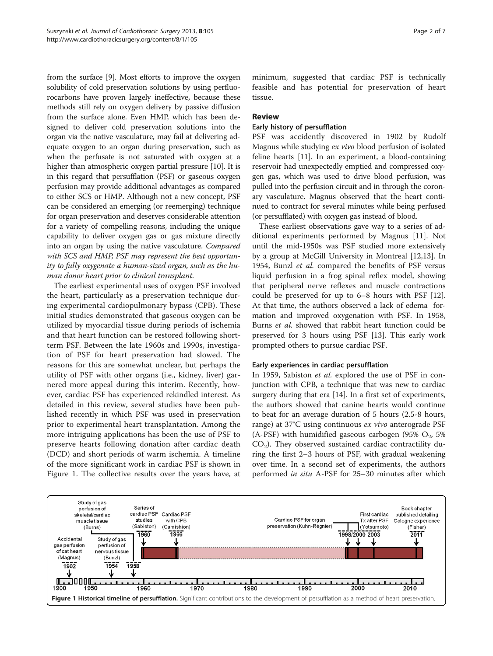from the surface [[9\]](#page-6-0). Most efforts to improve the oxygen solubility of cold preservation solutions by using perfluorocarbons have proven largely ineffective, because these methods still rely on oxygen delivery by passive diffusion from the surface alone. Even HMP, which has been designed to deliver cold preservation solutions into the organ via the native vasculature, may fail at delivering adequate oxygen to an organ during preservation, such as when the perfusate is not saturated with oxygen at a higher than atmospheric oxygen partial pressure [\[10\]](#page-6-0). It is in this regard that persufflation (PSF) or gaseous oxygen perfusion may provide additional advantages as compared to either SCS or HMP. Although not a new concept, PSF can be considered an emerging (or reemerging) technique for organ preservation and deserves considerable attention for a variety of compelling reasons, including the unique capability to deliver oxygen gas or gas mixture directly into an organ by using the native vasculature. Compared with SCS and HMP, PSF may represent the best opportunity to fully oxygenate a human-sized organ, such as the human donor heart prior to clinical transplant.

The earliest experimental uses of oxygen PSF involved the heart, particularly as a preservation technique during experimental cardiopulmonary bypass (CPB). These initial studies demonstrated that gaseous oxygen can be utilized by myocardial tissue during periods of ischemia and that heart function can be restored following shortterm PSF. Between the late 1960s and 1990s, investigation of PSF for heart preservation had slowed. The reasons for this are somewhat unclear, but perhaps the utility of PSF with other organs (i.e., kidney, liver) garnered more appeal during this interim. Recently, however, cardiac PSF has experienced rekindled interest. As detailed in this review, several studies have been published recently in which PSF was used in preservation prior to experimental heart transplantation. Among the more intriguing applications has been the use of PSF to preserve hearts following donation after cardiac death (DCD) and short periods of warm ischemia. A timeline of the more significant work in cardiac PSF is shown in Figure 1. The collective results over the years have, at minimum, suggested that cardiac PSF is technically feasible and has potential for preservation of heart tissue.

# Review

### Early history of persufflation

PSF was accidently discovered in 1902 by Rudolf Magnus while studying ex vivo blood perfusion of isolated feline hearts [[11](#page-6-0)]. In an experiment, a blood-containing reservoir had unexpectedly emptied and compressed oxygen gas, which was used to drive blood perfusion, was pulled into the perfusion circuit and in through the coronary vasculature. Magnus observed that the heart continued to contract for several minutes while being perfused (or persufflated) with oxygen gas instead of blood.

These earliest observations gave way to a series of additional experiments performed by Magnus [\[11\]](#page-6-0). Not until the mid-1950s was PSF studied more extensively by a group at McGill University in Montreal [\[12,13\]](#page-6-0). In 1954, Bunzl et al. compared the benefits of PSF versus liquid perfusion in a frog spinal reflex model, showing that peripheral nerve reflexes and muscle contractions could be preserved for up to 6–8 hours with PSF [\[12](#page-6-0)]. At that time, the authors observed a lack of edema formation and improved oxygenation with PSF. In 1958, Burns et al. showed that rabbit heart function could be preserved for 3 hours using PSF [[13\]](#page-6-0). This early work prompted others to pursue cardiac PSF.

#### Early experiences in cardiac persufflation

In 1959, Sabiston et al. explored the use of PSF in conjunction with CPB, a technique that was new to cardiac surgery during that era [[14\]](#page-6-0). In a first set of experiments, the authors showed that canine hearts would continue to beat for an average duration of 5 hours (2.5-8 hours, range) at 37°C using continuous ex vivo anterograde PSF (A-PSF) with humidified gaseous carbogen (95%  $O_2$ , 5%)  $CO<sub>2</sub>$ ). They observed sustained cardiac contractility during the first 2–3 hours of PSF, with gradual weakening over time. In a second set of experiments, the authors performed in situ A-PSF for 25–30 minutes after which

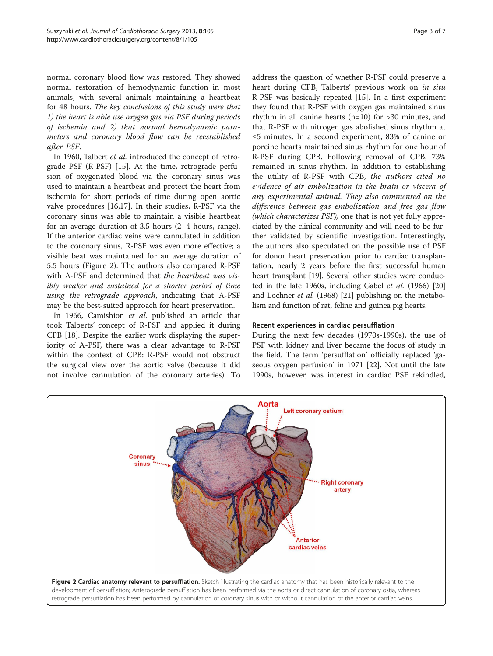normal coronary blood flow was restored. They showed normal restoration of hemodynamic function in most animals, with several animals maintaining a heartbeat for 48 hours. The key conclusions of this study were that 1) the heart is able use oxygen gas via PSF during periods of ischemia and 2) that normal hemodynamic parameters and coronary blood flow can be reestablished after PSF.

In 1960, Talbert et al. introduced the concept of retrograde PSF (R-PSF) [[15](#page-6-0)]. At the time, retrograde perfusion of oxygenated blood via the coronary sinus was used to maintain a heartbeat and protect the heart from ischemia for short periods of time during open aortic valve procedures [[16,17\]](#page-6-0). In their studies, R-PSF via the coronary sinus was able to maintain a visible heartbeat for an average duration of 3.5 hours (2–4 hours, range). If the anterior cardiac veins were cannulated in addition to the coronary sinus, R-PSF was even more effective; a visible beat was maintained for an average duration of 5.5 hours (Figure 2). The authors also compared R-PSF with A-PSF and determined that the heartbeat was visibly weaker and sustained for a shorter period of time using the retrograde approach, indicating that A-PSF may be the best-suited approach for heart preservation.

In 1966, Camishion et al. published an article that took Talberts' concept of R-PSF and applied it during CPB [\[18](#page-6-0)]. Despite the earlier work displaying the superiority of A-PSF, there was a clear advantage to R-PSF within the context of CPB: R-PSF would not obstruct the surgical view over the aortic valve (because it did not involve cannulation of the coronary arteries). To

address the question of whether R-PSF could preserve a heart during CPB, Talberts' previous work on in situ R-PSF was basically repeated [\[15](#page-6-0)]. In a first experiment they found that R-PSF with oxygen gas maintained sinus rhythm in all canine hearts (n=10) for >30 minutes, and that R-PSF with nitrogen gas abolished sinus rhythm at ≤5 minutes. In a second experiment, 83% of canine or porcine hearts maintained sinus rhythm for one hour of R-PSF during CPB. Following removal of CPB, 73% remained in sinus rhythm. In addition to establishing the utility of R-PSF with CPB, the authors cited no evidence of air embolization in the brain or viscera of any experimental animal. They also commented on the difference between gas embolization and free gas flow (which characterizes PSF), one that is not yet fully appreciated by the clinical community and will need to be further validated by scientific investigation. Interestingly, the authors also speculated on the possible use of PSF for donor heart preservation prior to cardiac transplantation, nearly 2 years before the first successful human heart transplant [\[19\]](#page-6-0). Several other studies were conducted in the late 1960s, including Gabel et al. (1966) [[20](#page-6-0)] and Lochner et al. (1968) [[21](#page-6-0)] publishing on the metabolism and function of rat, feline and guinea pig hearts.

# Recent experiences in cardiac persufflation

During the next few decades (1970s-1990s), the use of PSF with kidney and liver became the focus of study in the field. The term 'persufflation' officially replaced 'gaseous oxygen perfusion' in 1971 [\[22\]](#page-6-0). Not until the late 1990s, however, was interest in cardiac PSF rekindled,

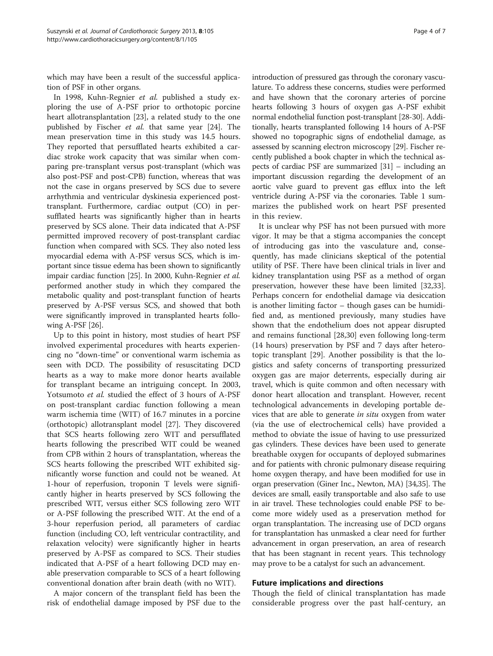which may have been a result of the successful application of PSF in other organs.

In 1998, Kuhn-Regnier et al. published a study exploring the use of A-PSF prior to orthotopic porcine heart allotransplantation [\[23](#page-6-0)], a related study to the one published by Fischer et al. that same year [[24\]](#page-6-0). The mean preservation time in this study was 14.5 hours. They reported that persufflated hearts exhibited a cardiac stroke work capacity that was similar when comparing pre-transplant versus post-transplant (which was also post-PSF and post-CPB) function, whereas that was not the case in organs preserved by SCS due to severe arrhythmia and ventricular dyskinesia experienced posttransplant. Furthermore, cardiac output (CO) in persufflated hearts was significantly higher than in hearts preserved by SCS alone. Their data indicated that A-PSF permitted improved recovery of post-transplant cardiac function when compared with SCS. They also noted less myocardial edema with A-PSF versus SCS, which is important since tissue edema has been shown to significantly impair cardiac function [\[25\]](#page-6-0). In 2000, Kuhn-Regnier et al. performed another study in which they compared the metabolic quality and post-transplant function of hearts preserved by A-PSF versus SCS, and showed that both were significantly improved in transplanted hearts following A-PSF [\[26\]](#page-6-0).

Up to this point in history, most studies of heart PSF involved experimental procedures with hearts experiencing no "down-time" or conventional warm ischemia as seen with DCD. The possibility of resuscitating DCD hearts as a way to make more donor hearts available for transplant became an intriguing concept. In 2003, Yotsumoto et al. studied the effect of 3 hours of A-PSF on post-transplant cardiac function following a mean warm ischemia time (WIT) of 16.7 minutes in a porcine (orthotopic) allotransplant model [\[27\]](#page-6-0). They discovered that SCS hearts following zero WIT and persufflated hearts following the prescribed WIT could be weaned from CPB within 2 hours of transplantation, whereas the SCS hearts following the prescribed WIT exhibited significantly worse function and could not be weaned. At 1-hour of reperfusion, troponin T levels were significantly higher in hearts preserved by SCS following the prescribed WIT, versus either SCS following zero WIT or A-PSF following the prescribed WIT. At the end of a 3-hour reperfusion period, all parameters of cardiac function (including CO, left ventricular contractility, and relaxation velocity) were significantly higher in hearts preserved by A-PSF as compared to SCS. Their studies indicated that A-PSF of a heart following DCD may enable preservation comparable to SCS of a heart following conventional donation after brain death (with no WIT).

A major concern of the transplant field has been the risk of endothelial damage imposed by PSF due to the introduction of pressured gas through the coronary vasculature. To address these concerns, studies were performed and have shown that the coronary arteries of porcine hearts following 3 hours of oxygen gas A-PSF exhibit normal endothelial function post-transplant [\[28-30\]](#page-6-0). Additionally, hearts transplanted following 14 hours of A-PSF showed no topographic signs of endothelial damage, as assessed by scanning electron microscopy [\[29\]](#page-6-0). Fischer recently published a book chapter in which the technical aspects of cardiac PSF are summarized [\[31](#page-6-0)] – including an important discussion regarding the development of an aortic valve guard to prevent gas efflux into the left ventricle during A-PSF via the coronaries. Table [1](#page-4-0) summarizes the published work on heart PSF presented in this review.

It is unclear why PSF has not been pursued with more vigor. It may be that a stigma accompanies the concept of introducing gas into the vasculature and, consequently, has made clinicians skeptical of the potential utility of PSF. There have been clinical trials in liver and kidney transplantation using PSF as a method of organ preservation, however these have been limited [\[32,33](#page-6-0)]. Perhaps concern for endothelial damage via desiccation is another limiting factor – though gases can be humidified and, as mentioned previously, many studies have shown that the endothelium does not appear disrupted and remains functional [\[28,30](#page-6-0)] even following long-term (14 hours) preservation by PSF and 7 days after heterotopic transplant [[29](#page-6-0)]. Another possibility is that the logistics and safety concerns of transporting pressurized oxygen gas are major deterrents, especially during air travel, which is quite common and often necessary with donor heart allocation and transplant. However, recent technological advancements in developing portable devices that are able to generate in situ oxygen from water (via the use of electrochemical cells) have provided a method to obviate the issue of having to use pressurized gas cylinders. These devices have been used to generate breathable oxygen for occupants of deployed submarines and for patients with chronic pulmonary disease requiring home oxygen therapy, and have been modified for use in organ preservation (Giner Inc., Newton, MA) [\[34,35\]](#page-6-0). The devices are small, easily transportable and also safe to use in air travel. These technologies could enable PSF to become more widely used as a preservation method for organ transplantation. The increasing use of DCD organs for transplantation has unmasked a clear need for further advancement in organ preservation, an area of research that has been stagnant in recent years. This technology may prove to be a catalyst for such an advancement.

## Future implications and directions

Though the field of clinical transplantation has made considerable progress over the past half-century, an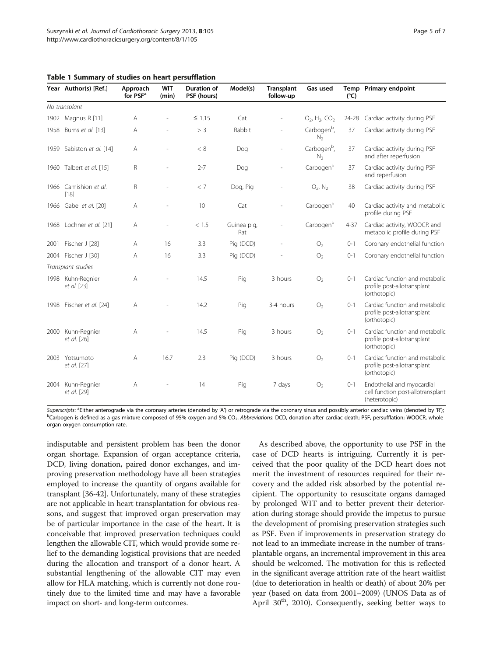|                    | Year Author(s) [Ref.]            | Approach<br>for PSF <sup>a</sup> | <b>WIT</b><br>(min) | <b>Duration of</b><br>PSF (hours) | Model(s)           | <b>Transplant</b><br>follow-up | Gas used                                  | $(^{\circ}C)$ | Temp Primary endpoint                                                            |
|--------------------|----------------------------------|----------------------------------|---------------------|-----------------------------------|--------------------|--------------------------------|-------------------------------------------|---------------|----------------------------------------------------------------------------------|
| No transplant      |                                  |                                  |                     |                                   |                    |                                |                                           |               |                                                                                  |
|                    | 1902 Magnus R [11]               | A                                |                     | $\leq$ 1.15                       | Cat                |                                | $O_2$ , $H_2$ , $CO_2$                    |               | 24-28 Cardiac activity during PSF                                                |
| 1958               | Burns et al. [13]                | A                                |                     | > 3                               | Rabbit             |                                | Carbogen <sup>b</sup> ,<br>N <sub>2</sub> | 37            | Cardiac activity during PSF                                                      |
|                    | 1959 Sabiston et al. [14]        | A                                |                     | < 8                               | Dog                |                                | Carbogen <sup>b</sup> ,<br>N <sub>2</sub> | 37            | Cardiac activity during PSF<br>and after reperfusion                             |
|                    | 1960 Talbert et al. [15]         | R                                |                     | $2 - 7$                           | Dog                |                                | Carbogenb                                 | 37            | Cardiac activity during PSF<br>and reperfusion                                   |
|                    | 1966 Camishion et al.<br>[18]    | R                                |                     | < 7                               | Dog, Pig           |                                | $O_2$ , $N_2$                             | 38            | Cardiac activity during PSF                                                      |
|                    | 1966 Gabel et al. [20]           | Α                                |                     | 10                                | Cat                |                                | Carbogenb                                 | 40            | Cardiac activity and metabolic<br>profile during PSF                             |
|                    | 1968 Lochner et al. [21]         | A                                |                     | < 1.5                             | Guinea pig,<br>Rat |                                | Carbogen <sup>b</sup>                     | $4 - 37$      | Cardiac activity, WOOCR and<br>metabolic profile during PSF                      |
| 2001               | Fischer J [28]                   | A                                | 16                  | 3.3                               | Pig (DCD)          |                                | O <sub>2</sub>                            | $O-1$         | Coronary endothelial function                                                    |
| 2004               | Fischer J [30]                   | Α                                | 16                  | 3.3                               | Pig (DCD)          |                                | O <sub>2</sub>                            | $0 - 1$       | Coronary endothelial function                                                    |
| Transplant studies |                                  |                                  |                     |                                   |                    |                                |                                           |               |                                                                                  |
| 1998               | Kuhn-Regnier<br>et al. [23]      | A                                |                     | 14.5                              | Pig                | 3 hours                        | O <sub>2</sub>                            | $O-1$         | Cardiac function and metabolic<br>profile post-allotransplant<br>(orthotopic)    |
|                    | 1998 Fischer et al. [24]         | A                                |                     | 14.2                              | Pig                | 3-4 hours                      | O <sub>2</sub>                            | $0 - 1$       | Cardiac function and metabolic<br>profile post-allotransplant<br>(orthotopic)    |
| 2000               | Kuhn-Regnier<br>et al. [26]      | A                                |                     | 14.5                              | Pig                | 3 hours                        | O <sub>2</sub>                            | $O-1$         | Cardiac function and metabolic<br>profile post-allotransplant<br>(orthotopic)    |
| 2003               | Yotsumoto<br>et al. [27]         | A                                | 16.7                | 2.3                               | Pig (DCD)          | 3 hours                        | O <sub>2</sub>                            | $O-1$         | Cardiac function and metabolic<br>profile post-allotransplant<br>(orthotopic)    |
|                    | 2004 Kuhn-Regnier<br>et al. [29] | A                                |                     | 14                                | Pig                | 7 days                         | O <sub>2</sub>                            | $0 - 1$       | Endothelial and myocardial<br>cell function post-allotransplant<br>(heterotopic) |

<span id="page-4-0"></span>Table 1 Summary of studies on heart persufflation

Superscripts: <sup>a</sup>Either anterograde via the coronary arteries (denoted by 'A') or retrograde via the coronary sinus and possibly anterior cardiac veins (denoted by 'R');<br>Postpogen is defined as a ses mixture composed of 05 <sup>b</sup>Carbogen is defined as a gas mixture composed of 95% oxygen and 5% CO<sub>2</sub>. Abbreviations: DCD, donation after cardiac death; PSF, persufflation; WOOCR, whole organ oxygen consumption rate.

indisputable and persistent problem has been the donor organ shortage. Expansion of organ acceptance criteria, DCD, living donation, paired donor exchanges, and improving preservation methodology have all been strategies employed to increase the quantity of organs available for transplant [[36-42\]](#page-6-0). Unfortunately, many of these strategies are not applicable in heart transplantation for obvious reasons, and suggest that improved organ preservation may be of particular importance in the case of the heart. It is conceivable that improved preservation techniques could lengthen the allowable CIT, which would provide some relief to the demanding logistical provisions that are needed during the allocation and transport of a donor heart. A substantial lengthening of the allowable CIT may even allow for HLA matching, which is currently not done routinely due to the limited time and may have a favorable impact on short- and long-term outcomes.

As described above, the opportunity to use PSF in the case of DCD hearts is intriguing. Currently it is perceived that the poor quality of the DCD heart does not merit the investment of resources required for their recovery and the added risk absorbed by the potential recipient. The opportunity to resuscitate organs damaged by prolonged WIT and to better prevent their deterioration during storage should provide the impetus to pursue the development of promising preservation strategies such as PSF. Even if improvements in preservation strategy do not lead to an immediate increase in the number of transplantable organs, an incremental improvement in this area should be welcomed. The motivation for this is reflected in the significant average attrition rate of the heart waitlist (due to deterioration in health or death) of about 20% per year (based on data from 2001–2009) (UNOS Data as of April  $30<sup>th</sup>$ , 2010). Consequently, seeking better ways to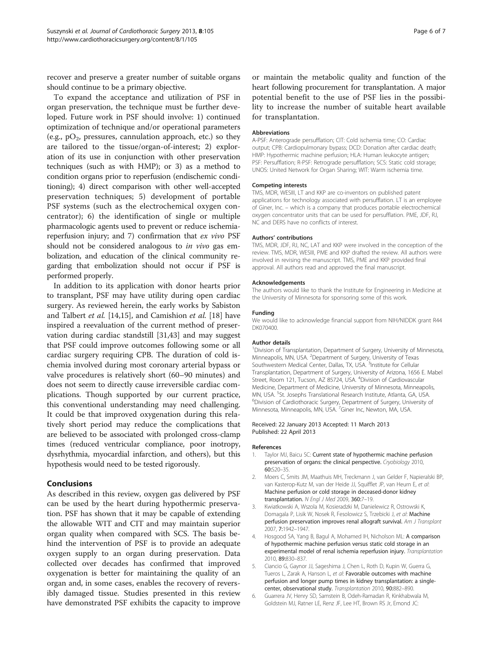<span id="page-5-0"></span>recover and preserve a greater number of suitable organs should continue to be a primary objective.

To expand the acceptance and utilization of PSF in organ preservation, the technique must be further developed. Future work in PSF should involve: 1) continued optimization of technique and/or operational parameters (e.g.,  $pO_2$ , pressures, cannulation approach, etc.) so they are tailored to the tissue/organ-of-interest; 2) exploration of its use in conjunction with other preservation techniques (such as with HMP); or 3) as a method to condition organs prior to reperfusion (endischemic conditioning); 4) direct comparison with other well-accepted preservation techniques; 5) development of portable PSF systems (such as the electrochemical oxygen concentrator); 6) the identification of single or multiple pharmacologic agents used to prevent or reduce ischemiareperfusion injury; and 7) confirmation that ex vivo PSF should not be considered analogous to in vivo gas embolization, and education of the clinical community regarding that embolization should not occur if PSF is performed properly.

In addition to its application with donor hearts prior to transplant, PSF may have utility during open cardiac surgery. As reviewed herein, the early works by Sabiston and Talbert et al. [[14,15\]](#page-6-0), and Camishion et al. [[18\]](#page-6-0) have inspired a reevaluation of the current method of preservation during cardiac standstill [[31,43](#page-6-0)] and may suggest that PSF could improve outcomes following some or all cardiac surgery requiring CPB. The duration of cold ischemia involved during most coronary arterial bypass or valve procedures is relatively short (60–90 minutes) and does not seem to directly cause irreversible cardiac complications. Though supported by our current practice, this conventional understanding may need challenging. It could be that improved oxygenation during this relatively short period may reduce the complications that are believed to be associated with prolonged cross-clamp times (reduced ventricular compliance, poor inotropy, dysrhythmia, myocardial infarction, and others), but this hypothesis would need to be tested rigorously.

# Conclusions

As described in this review, oxygen gas delivered by PSF can be used by the heart during hypothermic preservation. PSF has shown that it may be capable of extending the allowable WIT and CIT and may maintain superior organ quality when compared with SCS. The basis behind the intervention of PSF is to provide an adequate oxygen supply to an organ during preservation. Data collected over decades has confirmed that improved oxygenation is better for maintaining the quality of an organ and, in some cases, enables the recovery of reversibly damaged tissue. Studies presented in this review have demonstrated PSF exhibits the capacity to improve

or maintain the metabolic quality and function of the heart following procurement for transplantation. A major potential benefit to the use of PSF lies in the possibility to increase the number of suitable heart available for transplantation.

#### Abbreviations

A-PSF: Anterograde persufflation; CIT: Cold ischemia time; CO: Cardiac output; CPB: Cardiopulmonary bypass; DCD: Donation after cardiac death; HMP: Hypothermic machine perfusion; HLA: Human leukocyte antigen; PSF: Persufflation; R-PSF: Retrograde persufflation; SCS: Static cold storage; UNOS: United Network for Organ Sharing; WIT: Warm ischemia time.

#### Competing interests

TMS, MDR, WESIII, LT and KKP are co-inventors on published patent applications for technology associated with persufflation. LT is an employee of Giner, Inc. – which is a company that produces portable electrochemical oxygen concentrator units that can be used for persufflation. PME, JDF, RJ, NC and DERS have no conflicts of interest.

#### Authors' contributions

TMS, MDR, JDF, RJ, NC, LAT and KKP were involved in the conception of the review. TMS, MDR, WESIII, PME and KKP drafted the review. All authors were involved in revising the manuscript. TMS, PME and KKP provided final approval. All authors read and approved the final manuscript.

#### Acknowledgements

The authors would like to thank the Institute for Engineering in Medicine at the University of Minnesota for sponsoring some of this work.

#### Funding

We would like to acknowledge financial support from NIH/NIDDK grant R44 DK070400.

#### Author details

<sup>1</sup> Division of Transplantation, Department of Surgery, University of Minnesota Minneapolis, MN, USA. <sup>2</sup>Department of Surgery, University of Texas Southwestern Medical Center, Dallas, TX, USA.<sup>3</sup>Institute for Cellular Transplantation, Department of Surgery, University of Arizona, 1656 E. Mabel Street, Room 121, Tucson, AZ 85724, USA. <sup>4</sup> Division of Cardiovascular Medicine, Department of Medicine, University of Minnesota, Minneapolis, MN, USA. <sup>5</sup>St. Josephs Translational Research Institute, Atlanta, GA, USA.<br><sup>6</sup>Division of Cardiotheracis Surgeny Department of Surgeny University <sup>6</sup>Division of Cardiothoracic Surgery, Department of Surgery, University of Minnesota, Minneapolis, MN, USA. <sup>7</sup>Giner Inc, Newton, MA, USA

#### Received: 22 January 2013 Accepted: 11 March 2013 Published: 22 April 2013

#### References

- 1. Taylor MJ, Baicu SC: Current state of hypothermic machine perfusion preservation of organs: the clinical perspective. Cryobiology 2010, 60:S20–35.
- 2. Moers C, Smits JM, Maathuis MH, Treckmann J, van Gelder F, Napieralski BP, van Kasterop-Kutz M, van der Heide JJ, Squifflet JP, van Heurn E, et al: Machine perfusion or cold storage in deceased-donor kidney transplantation. N Engl J Med 2009, 360:7–19.
- 3. Kwiatkowski A, Wszola M, Kosieradzki M, Danielewicz R, Ostrowski K, Domagala P, Lisik W, Nosek R, Fesolowicz S, Trzebicki J, et al: Machine perfusion preservation improves renal allograft survival. Am J Transplant 2007, 7:1942–1947.
- Hosgood SA, Yang B, Bagul A, Mohamed IH, Nicholson ML: A comparison of hypothermic machine perfusion versus static cold storage in an experimental model of renal ischemia reperfusion injury. Transplantation 2010, 89:830–837.
- 5. Ciancio G, Gaynor JJ, Sageshima J, Chen L, Roth D, Kupin W, Guerra G, Tueros L, Zarak A, Hanson L, et al: Favorable outcomes with machine perfusion and longer pump times in kidney transplantation: a singlecenter, observational study. Transplantation 2010, 90:882–890.
- 6. Guarrera JV, Henry SD, Samstein B, Odeh-Ramadan R, Kinkhabwala M, Goldstein MJ, Ratner LE, Renz JF, Lee HT, Brown RS Jr, Emond JC: